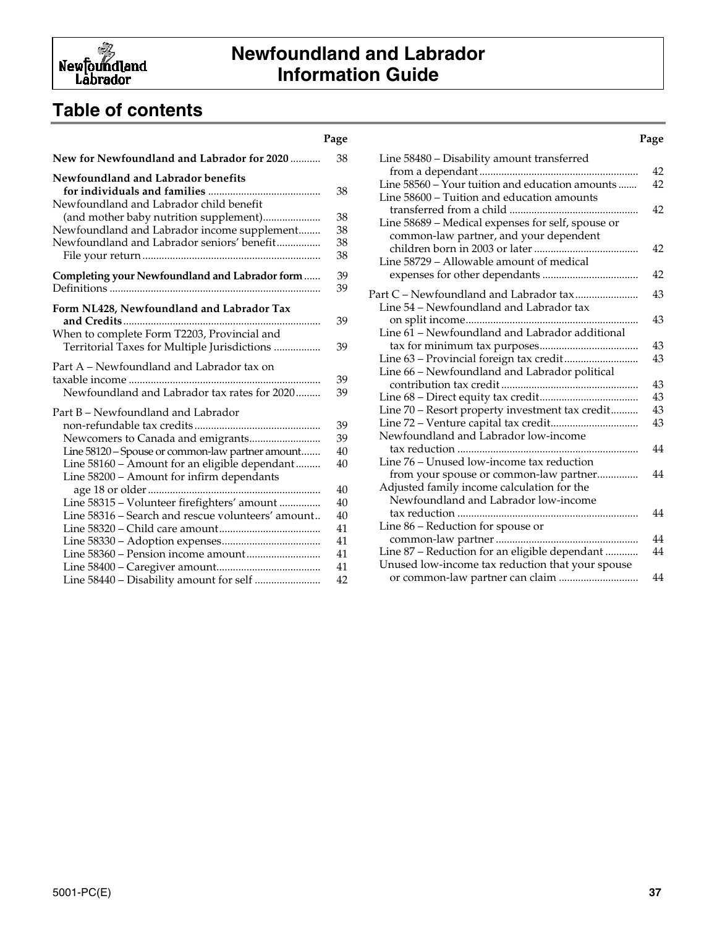

## **Table of contents**

#### **New for Newfoundland and Labrador for 2020** ........... 38 **Newfoundland and Labrador benefits for individuals and families** ......................................... 38 Newfoundland and Labrador child benefit (and mother baby nutrition supplement)..................... 38 Newfoundland and Labrador income supplement........ 38 Newfoundland and Labrador seniors' benefit................ 38 File your return................................................................. 38 **Completing your Newfoundland and Labrador form**...... 39 Definitions ............................................................................. 39 **Form NL428, Newfoundland and Labrador Tax and Credits**........................................................................ 39 When to complete Form T2203, Provincial and Territorial Taxes for Multiple Jurisdictions ................. 39 Part A – Newfoundland and Labrador tax on taxable income ...................................................................... 39 Newfoundland and Labrador tax rates for 2020......... 39 Part B – Newfoundland and Labrador non-refundable tax credits .............................................. 39 Newcomers to Canada and emigrants.......................... 39 Line 58120 – Spouse or common-law partner amount....... 40 Line 58160 – Amount for an eligible dependant......... 40 Line 58200 – Amount for infirm dependants age 18 or older............................................................... 40 Line 58315 – Volunteer firefighters' amount ............... 40 Line 58316 – Search and rescue volunteers' amount.. 40 Line 58320 – Child care amount..................................... 41 Line 58330 – Adoption expenses.................................... 41 Line 58360 – Pension income amount........................... 41 Line 58400 – Caregiver amount...................................... 41 Line 58440 – Disability amount for self ........................ 42

#### Line 58480 – Disability amount transferred from a dependant.......................................................... 42 Line 58560 – Your tuition and education amounts ....... 42 Line 58600 – Tuition and education amounts transferred from a child ............................................... 42 Line 58689 – Medical expenses for self, spouse or common-law partner, and your dependent children born in 2003 or later...................................... 42 Line 58729 – Allowable amount of medical expenses for other dependants ................................... 42 Part C – Newfoundland and Labrador tax....................... 43 Line 54 – Newfoundland and Labrador tax on split income............................................................... 43 Line 61 – Newfoundland and Labrador additional tax for minimum tax purposes.................................... 43 Line 63 – Provincial foreign tax credit........................... 43 Line 66 – Newfoundland and Labrador political contribution tax credit.................................................. 43 Line 68 – Direct equity tax credit.................................... 43 Line 70 – Resort property investment tax credit.......... 43 Line 72 – Venture capital tax credit................................ 43 Newfoundland and Labrador low-income tax reduction .................................................................. 44 Line 76 – Unused low-income tax reduction from your spouse or common-law partner............... 44 Adjusted family income calculation for the Newfoundland and Labrador low-income tax reduction .................................................................. 44 Line 86 – Reduction for spouse or common-law partner.................................................... 44 Line 87 – Reduction for an eligible dependant ............ 44 Unused low-income tax reduction that your spouse or common-law partner can claim ............................. 44

#### **Page Page**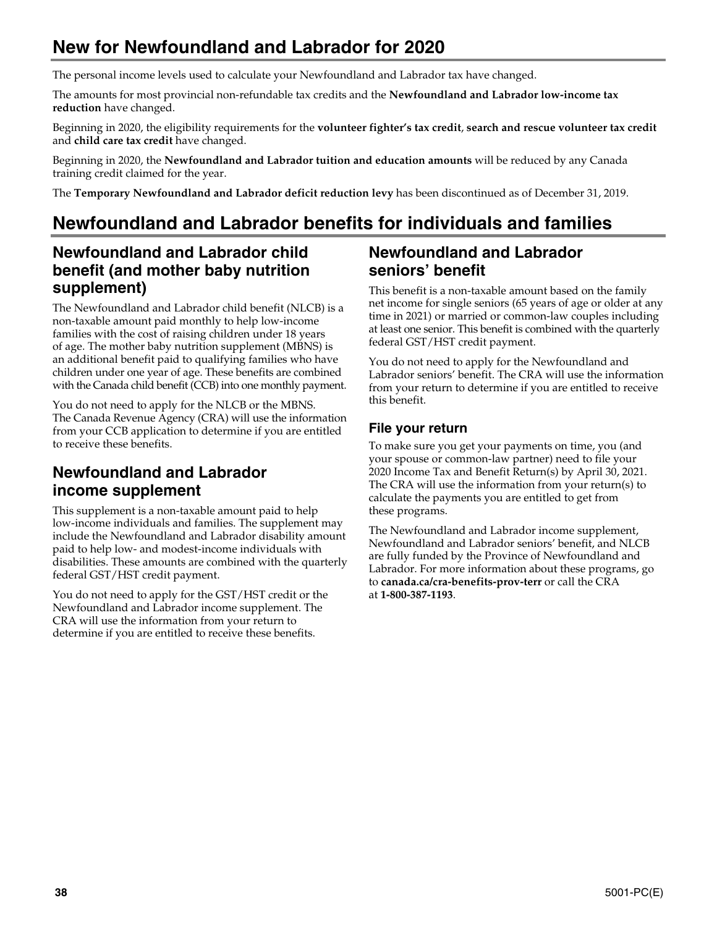# **New for Newfoundland and Labrador for 2020**

The personal income levels used to calculate your Newfoundland and Labrador tax have changed.

The amounts for most provincial non-refundable tax credits and the **Newfoundland and Labrador low-income tax reduction** have changed.

Beginning in 2020, the eligibility requirements for the **volunteer fighter's tax credit**, **search and rescue volunteer tax credit** and **child care tax credit** have changed.

Beginning in 2020, the **Newfoundland and Labrador tuition and education amounts** will be reduced by any Canada training credit claimed for the year.

The **Temporary Newfoundland and Labrador deficit reduction levy** has been discontinued as of December 31, 2019.

# **Newfoundland and Labrador benefits for individuals and families**

## **Newfoundland and Labrador child benefit (and mother baby nutrition supplement)**

The Newfoundland and Labrador child benefit (NLCB) is a non-taxable amount paid monthly to help low-income families with the cost of raising children under 18 years of age. The mother baby nutrition supplement (MBNS) is an additional benefit paid to qualifying families who have children under one year of age. These benefits are combined with the Canada child benefit (CCB) into one monthly payment.

You do not need to apply for the NLCB or the MBNS. The Canada Revenue Agency (CRA) will use the information from your CCB application to determine if you are entitled to receive these benefits.

## **Newfoundland and Labrador income supplement**

This supplement is a non-taxable amount paid to help low-income individuals and families. The supplement may include the Newfoundland and Labrador disability amount paid to help low- and modest-income individuals with disabilities. These amounts are combined with the quarterly federal GST/HST credit payment.

You do not need to apply for the GST/HST credit or the Newfoundland and Labrador income supplement. The CRA will use the information from your return to determine if you are entitled to receive these benefits.

## **Newfoundland and Labrador seniors' benefit**

This benefit is a non-taxable amount based on the family net income for single seniors (65 years of age or older at any time in 2021) or married or common-law couples including at least one senior. This benefit is combined with the quarterly federal GST/HST credit payment.

You do not need to apply for the Newfoundland and Labrador seniors' benefit. The CRA will use the information from your return to determine if you are entitled to receive this benefit.

## **File your return**

To make sure you get your payments on time, you (and your spouse or common-law partner) need to file your 2020 Income Tax and Benefit Return(s) by April 30, 2021. The CRA will use the information from your return(s) to calculate the payments you are entitled to get from these programs.

The Newfoundland and Labrador income supplement, Newfoundland and Labrador seniors' benefit, and NLCB are fully funded by the Province of Newfoundland and Labrador. For more information about these programs, go to **canada.ca/cra-benefits-prov-terr** or call the CRA at **1-800-387-1193**.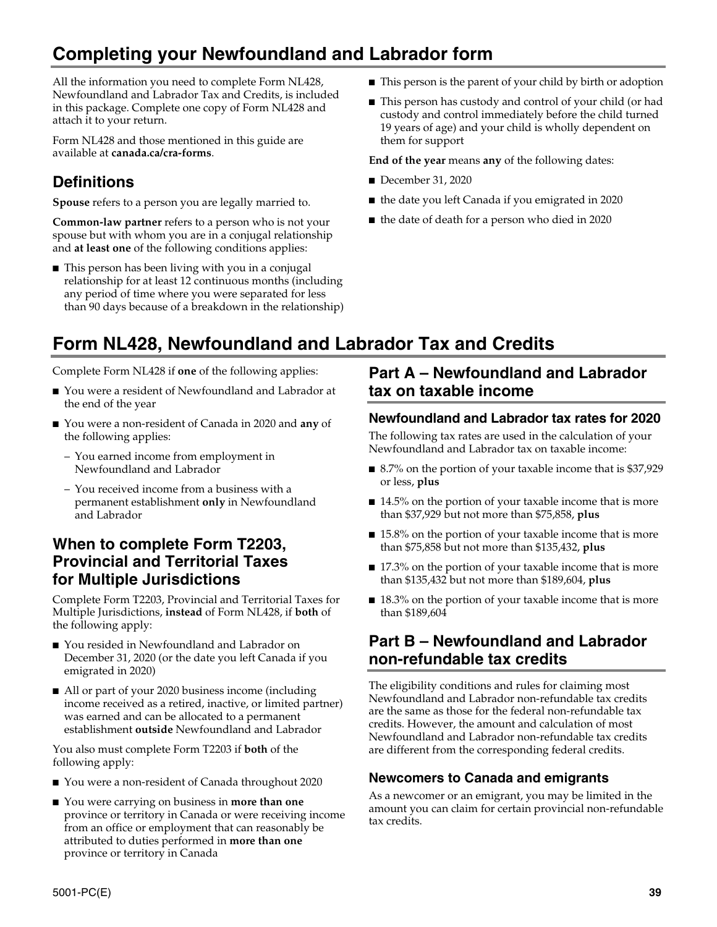# **Completing your Newfoundland and Labrador form**

All the information you need to complete Form NL428, Newfoundland and Labrador Tax and Credits, is included in this package. Complete one copy of Form NL428 and attach it to your return.

Form NL428 and those mentioned in this guide are available at **canada.ca/cra-forms**.

## **Definitions**

**Spouse** refers to a person you are legally married to.

**Common-law partner** refers to a person who is not your spouse but with whom you are in a conjugal relationship and **at least one** of the following conditions applies:

■ This person has been living with you in a conjugal relationship for at least 12 continuous months (including any period of time where you were separated for less than 90 days because of a breakdown in the relationship)

- This person is the parent of your child by birth or adoption
- This person has custody and control of your child (or had custody and control immediately before the child turned 19 years of age) and your child is wholly dependent on them for support

**End of the year** means **any** of the following dates:

- December 31, 2020
- the date you left Canada if you emigrated in 2020
- the date of death for a person who died in 2020

# **Form NL428, Newfoundland and Labrador Tax and Credits**

Complete Form NL428 if **one** of the following applies:

- You were a resident of Newfoundland and Labrador at the end of the year
- You were a non-resident of Canada in 2020 and **any** of the following applies:
	- You earned income from employment in Newfoundland and Labrador
	- You received income from a business with a permanent establishment **only** in Newfoundland and Labrador

## **When to complete Form T2203, Provincial and Territorial Taxes for Multiple Jurisdictions**

Complete Form T2203, Provincial and Territorial Taxes for Multiple Jurisdictions, **instead** of Form NL428, if **both** of the following apply:

- You resided in Newfoundland and Labrador on December 31, 2020 (or the date you left Canada if you emigrated in 2020)
- All or part of your 2020 business income (including income received as a retired, inactive, or limited partner) was earned and can be allocated to a permanent establishment **outside** Newfoundland and Labrador

You also must complete Form T2203 if **both** of the following apply:

- You were a non-resident of Canada throughout 2020
- You were carrying on business in **more than one** province or territory in Canada or were receiving income from an office or employment that can reasonably be attributed to duties performed in **more than one** province or territory in Canada

## **Part A – Newfoundland and Labrador tax on taxable income**

## **Newfoundland and Labrador tax rates for 2020**

The following tax rates are used in the calculation of your Newfoundland and Labrador tax on taxable income:

- 8.7% on the portion of your taxable income that is \$37,929 or less, **plus**
- 14.5% on the portion of your taxable income that is more than \$37,929 but not more than \$75,858, **plus**
- 15.8% on the portion of your taxable income that is more than \$75,858 but not more than \$135,432, **plus**
- 17.3% on the portion of your taxable income that is more than \$135,432 but not more than \$189,604, **plus**
- 18.3% on the portion of your taxable income that is more than \$189,604

## **Part B – Newfoundland and Labrador non-refundable tax credits**

The eligibility conditions and rules for claiming most Newfoundland and Labrador non-refundable tax credits are the same as those for the federal non-refundable tax credits. However, the amount and calculation of most Newfoundland and Labrador non-refundable tax credits are different from the corresponding federal credits.

## **Newcomers to Canada and emigrants**

As a newcomer or an emigrant, you may be limited in the amount you can claim for certain provincial non-refundable tax credits.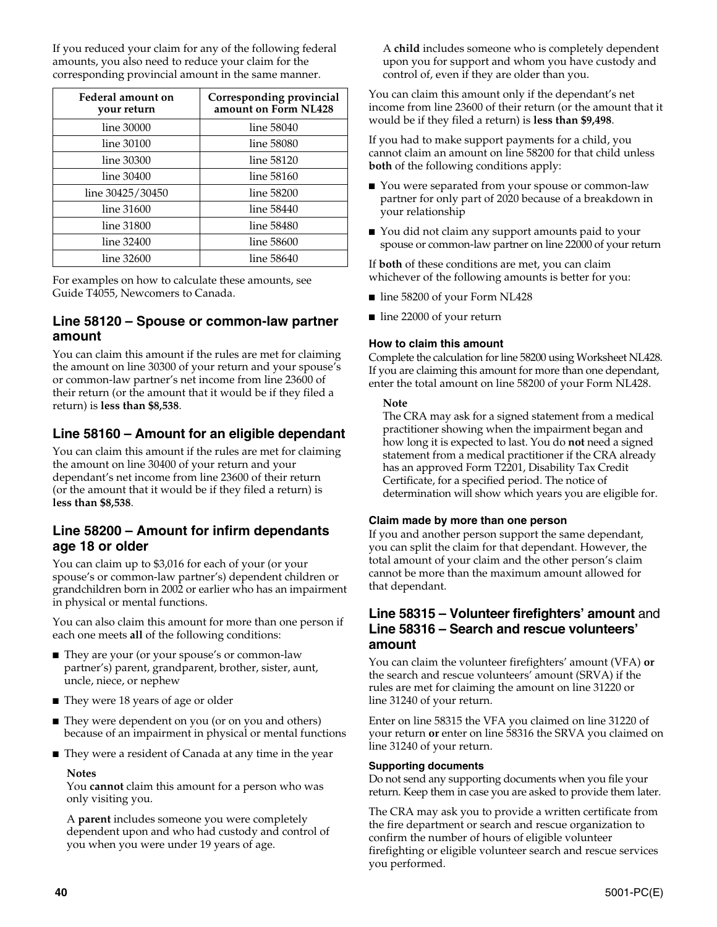If you reduced your claim for any of the following federal amounts, you also need to reduce your claim for the corresponding provincial amount in the same manner.

| Federal amount on<br>your return | Corresponding provincial<br>amount on Form NL428 |
|----------------------------------|--------------------------------------------------|
| line 30000                       | line 58040                                       |
| line 30100                       | line 58080                                       |
| line 30300                       | line 58120                                       |
| line 30400                       | line 58160                                       |
| line 30425/30450                 | line 58200                                       |
| line 31600                       | line 58440                                       |
| line 31800                       | line 58480                                       |
| line 32400                       | line 58600                                       |
| line 32600                       | line 58640                                       |

For examples on how to calculate these amounts, see Guide T4055, Newcomers to Canada.

### **Line 58120 – Spouse or common-law partner amount**

You can claim this amount if the rules are met for claiming the amount on line 30300 of your return and your spouse's or common-law partner's net income from line 23600 of their return (or the amount that it would be if they filed a return) is **less than \$8,538**.

## **Line 58160 – Amount for an eligible dependant**

You can claim this amount if the rules are met for claiming the amount on line 30400 of your return and your dependant's net income from line 23600 of their return (or the amount that it would be if they filed a return) is **less than \$8,538**.

### **Line 58200 – Amount for infirm dependants age 18 or older**

You can claim up to \$3,016 for each of your (or your spouse's or common-law partner's) dependent children or grandchildren born in 2002 or earlier who has an impairment in physical or mental functions.

You can also claim this amount for more than one person if each one meets **all** of the following conditions:

- They are your (or your spouse's or common-law partner's) parent, grandparent, brother, sister, aunt, uncle, niece, or nephew
- They were 18 years of age or older
- They were dependent on you (or on you and others) because of an impairment in physical or mental functions
- They were a resident of Canada at any time in the year

#### **Notes**

You **cannot** claim this amount for a person who was only visiting you.

A **parent** includes someone you were completely dependent upon and who had custody and control of you when you were under 19 years of age.

A **child** includes someone who is completely dependent upon you for support and whom you have custody and control of, even if they are older than you.

You can claim this amount only if the dependant's net income from line 23600 of their return (or the amount that it would be if they filed a return) is **less than \$9,498**.

If you had to make support payments for a child, you cannot claim an amount on line 58200 for that child unless **both** of the following conditions apply:

- You were separated from your spouse or common-law partner for only part of 2020 because of a breakdown in your relationship
- You did not claim any support amounts paid to your spouse or common-law partner on line 22000 of your return

If **both** of these conditions are met, you can claim whichever of the following amounts is better for you:

- line 58200 of your Form NL428
- line 22000 of your return

#### **How to claim this amount**

Complete the calculation for line 58200 using Worksheet NL428. If you are claiming this amount for more than one dependant, enter the total amount on line 58200 of your Form NL428.

#### **Note**

The CRA may ask for a signed statement from a medical practitioner showing when the impairment began and how long it is expected to last. You do **not** need a signed statement from a medical practitioner if the CRA already has an approved Form T2201, Disability Tax Credit Certificate, for a specified period. The notice of determination will show which years you are eligible for.

#### **Claim made by more than one person**

If you and another person support the same dependant, you can split the claim for that dependant. However, the total amount of your claim and the other person's claim cannot be more than the maximum amount allowed for that dependant.

#### **Line 58315 – Volunteer firefighters' amount** and **Line 58316 – Search and rescue volunteers' amount**

You can claim the volunteer firefighters' amount (VFA) **or** the search and rescue volunteers' amount (SRVA) if the rules are met for claiming the amount on line 31220 or line 31240 of your return.

Enter on line 58315 the VFA you claimed on line 31220 of your return **or** enter on line 58316 the SRVA you claimed on line 31240 of your return.

#### **Supporting documents**

Do not send any supporting documents when you file your return. Keep them in case you are asked to provide them later.

The CRA may ask you to provide a written certificate from the fire department or search and rescue organization to confirm the number of hours of eligible volunteer firefighting or eligible volunteer search and rescue services you performed.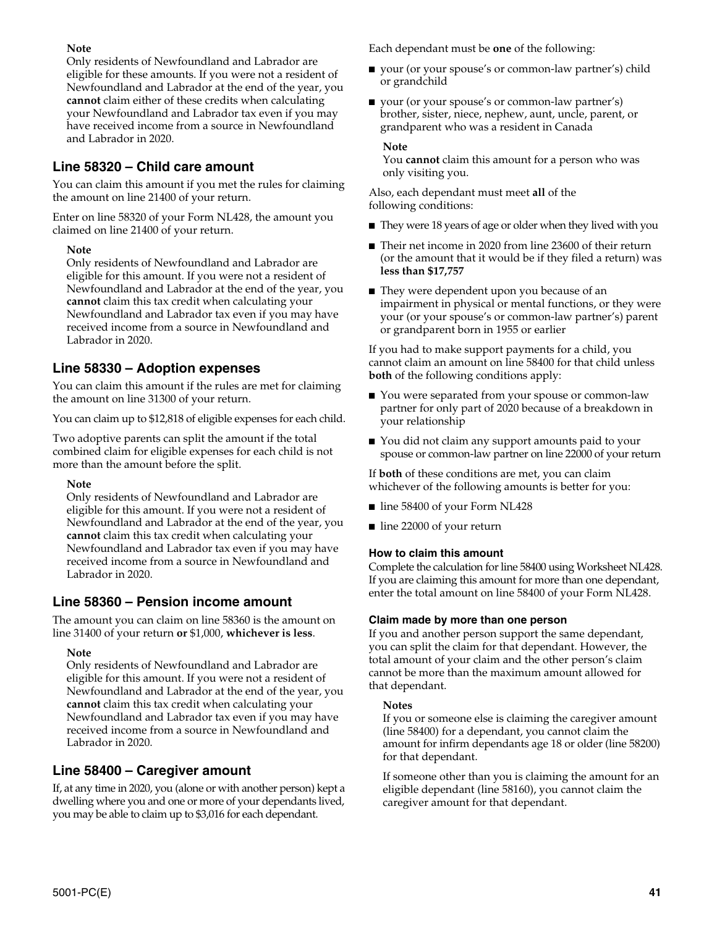#### **Note**

Only residents of Newfoundland and Labrador are eligible for these amounts. If you were not a resident of Newfoundland and Labrador at the end of the year, you **cannot** claim either of these credits when calculating your Newfoundland and Labrador tax even if you may have received income from a source in Newfoundland and Labrador in 2020.

## **Line 58320 – Child care amount**

You can claim this amount if you met the rules for claiming the amount on line 21400 of your return.

Enter on line 58320 of your Form NL428, the amount you claimed on line 21400 of your return.

#### **Note**

Only residents of Newfoundland and Labrador are eligible for this amount. If you were not a resident of Newfoundland and Labrador at the end of the year, you **cannot** claim this tax credit when calculating your Newfoundland and Labrador tax even if you may have received income from a source in Newfoundland and Labrador in 2020.

## **Line 58330 – Adoption expenses**

You can claim this amount if the rules are met for claiming the amount on line 31300 of your return.

You can claim up to \$12,818 of eligible expenses for each child.

Two adoptive parents can split the amount if the total combined claim for eligible expenses for each child is not more than the amount before the split.

#### **Note**

Only residents of Newfoundland and Labrador are eligible for this amount. If you were not a resident of Newfoundland and Labrador at the end of the year, you **cannot** claim this tax credit when calculating your Newfoundland and Labrador tax even if you may have received income from a source in Newfoundland and Labrador in 2020.

## **Line 58360 – Pension income amount**

The amount you can claim on line 58360 is the amount on line 31400 of your return **or** \$1,000, **whichever is less**.

#### **Note**

Only residents of Newfoundland and Labrador are eligible for this amount. If you were not a resident of Newfoundland and Labrador at the end of the year, you **cannot** claim this tax credit when calculating your Newfoundland and Labrador tax even if you may have received income from a source in Newfoundland and Labrador in 2020.

## **Line 58400 – Caregiver amount**

If, at any time in 2020, you (alone or with another person) kept a dwelling where you and one or more of your dependants lived, you may be able to claim up to \$3,016 for each dependant.

Each dependant must be **one** of the following:

- your (or your spouse's or common-law partner's) child or grandchild
- your (or your spouse's or common-law partner's) brother, sister, niece, nephew, aunt, uncle, parent, or grandparent who was a resident in Canada

#### **Note**

You **cannot** claim this amount for a person who was only visiting you.

Also, each dependant must meet **all** of the following conditions:

- They were 18 years of age or older when they lived with you
- Their net income in 2020 from line 23600 of their return (or the amount that it would be if they filed a return) was **less than \$17,757**
- They were dependent upon you because of an impairment in physical or mental functions, or they were your (or your spouse's or common-law partner's) parent or grandparent born in 1955 or earlier

If you had to make support payments for a child, you cannot claim an amount on line 58400 for that child unless **both** of the following conditions apply:

- You were separated from your spouse or common-law partner for only part of 2020 because of a breakdown in your relationship
- You did not claim any support amounts paid to your spouse or common-law partner on line 22000 of your return

If **both** of these conditions are met, you can claim whichever of the following amounts is better for you:

- line 58400 of your Form NL428
- line 22000 of your return

#### **How to claim this amount**

Complete the calculation for line 58400 using Worksheet NL428. If you are claiming this amount for more than one dependant, enter the total amount on line 58400 of your Form NL428.

#### **Claim made by more than one person**

If you and another person support the same dependant, you can split the claim for that dependant. However, the total amount of your claim and the other person's claim cannot be more than the maximum amount allowed for that dependant.

#### **Notes**

If you or someone else is claiming the caregiver amount (line 58400) for a dependant, you cannot claim the amount for infirm dependants age 18 or older (line 58200) for that dependant.

If someone other than you is claiming the amount for an eligible dependant (line 58160), you cannot claim the caregiver amount for that dependant.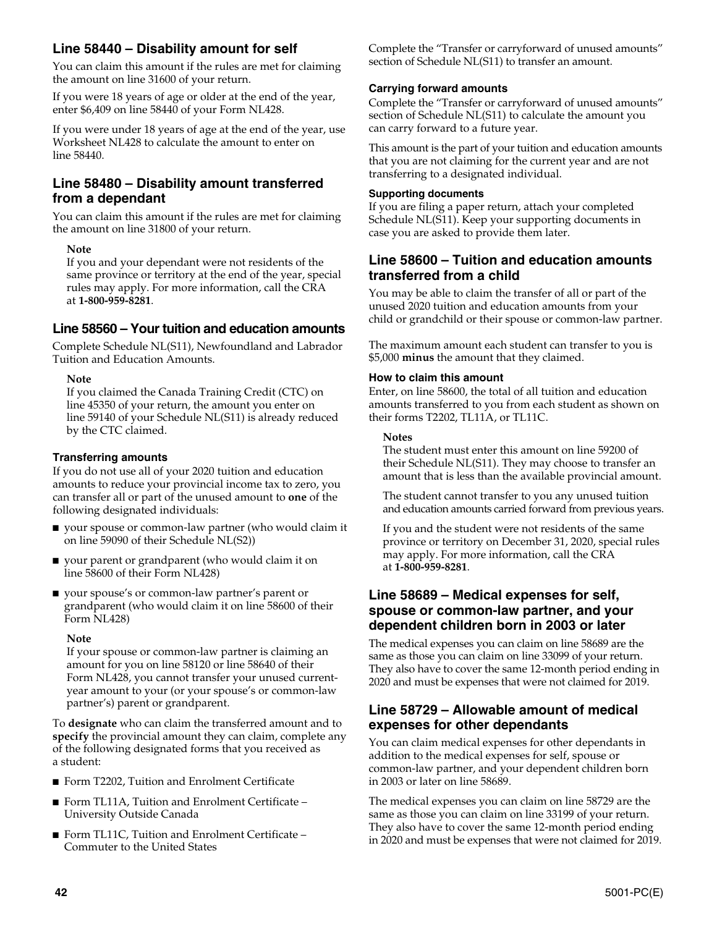## **Line 58440 – Disability amount for self**

You can claim this amount if the rules are met for claiming the amount on line 31600 of your return.

If you were 18 years of age or older at the end of the year, enter \$6,409 on line 58440 of your Form NL428.

If you were under 18 years of age at the end of the year, use Worksheet NL428 to calculate the amount to enter on line 58440.

## **Line 58480 – Disability amount transferred from a dependant**

You can claim this amount if the rules are met for claiming the amount on line 31800 of your return.

#### **Note**

If you and your dependant were not residents of the same province or territory at the end of the year, special rules may apply. For more information, call the CRA at **1-800-959-8281**.

## **Line 58560 – Your tuition and education amounts**

Complete Schedule NL(S11), Newfoundland and Labrador Tuition and Education Amounts.

#### **Note**

If you claimed the Canada Training Credit (CTC) on line 45350 of your return, the amount you enter on line 59140 of your Schedule NL(S11) is already reduced by the CTC claimed.

#### **Transferring amounts**

If you do not use all of your 2020 tuition and education amounts to reduce your provincial income tax to zero, you can transfer all or part of the unused amount to **one** of the following designated individuals:

- your spouse or common-law partner (who would claim it on line 59090 of their Schedule NL(S2))
- your parent or grandparent (who would claim it on line 58600 of their Form NL428)
- your spouse's or common-law partner's parent or grandparent (who would claim it on line 58600 of their Form NL428)

#### **Note**

If your spouse or common-law partner is claiming an amount for you on line 58120 or line 58640 of their Form NL428, you cannot transfer your unused currentyear amount to your (or your spouse's or common-law partner's) parent or grandparent.

To **designate** who can claim the transferred amount and to **specify** the provincial amount they can claim, complete any of the following designated forms that you received as a student:

- Form T2202, Tuition and Enrolment Certificate
- Form TL11A, Tuition and Enrolment Certificate University Outside Canada
- Form TL11C, Tuition and Enrolment Certificate Commuter to the United States

Complete the "Transfer or carryforward of unused amounts" section of Schedule NL(S11) to transfer an amount.

#### **Carrying forward amounts**

Complete the "Transfer or carryforward of unused amounts" section of Schedule NL(S11) to calculate the amount you can carry forward to a future year.

This amount is the part of your tuition and education amounts that you are not claiming for the current year and are not transferring to a designated individual.

#### **Supporting documents**

If you are filing a paper return, attach your completed Schedule NL(S11). Keep your supporting documents in case you are asked to provide them later.

### **Line 58600 – Tuition and education amounts transferred from a child**

You may be able to claim the transfer of all or part of the unused 2020 tuition and education amounts from your child or grandchild or their spouse or common-law partner.

The maximum amount each student can transfer to you is \$5,000 **minus** the amount that they claimed.

#### **How to claim this amount**

Enter, on line 58600, the total of all tuition and education amounts transferred to you from each student as shown on their forms T2202, TL11A, or TL11C.

#### **Notes**

The student must enter this amount on line 59200 of their Schedule NL(S11). They may choose to transfer an amount that is less than the available provincial amount.

The student cannot transfer to you any unused tuition and education amounts carried forward from previous years.

If you and the student were not residents of the same province or territory on December 31, 2020, special rules may apply. For more information, call the CRA at **1-800-959-8281**.

### **Line 58689 – Medical expenses for self, spouse or common-law partner, and your dependent children born in 2003 or later**

The medical expenses you can claim on line 58689 are the same as those you can claim on line 33099 of your return. They also have to cover the same 12-month period ending in 2020 and must be expenses that were not claimed for 2019.

### **Line 58729 – Allowable amount of medical expenses for other dependants**

You can claim medical expenses for other dependants in addition to the medical expenses for self, spouse or common-law partner, and your dependent children born in 2003 or later on line 58689.

The medical expenses you can claim on line 58729 are the same as those you can claim on line 33199 of your return. They also have to cover the same 12-month period ending in 2020 and must be expenses that were not claimed for 2019.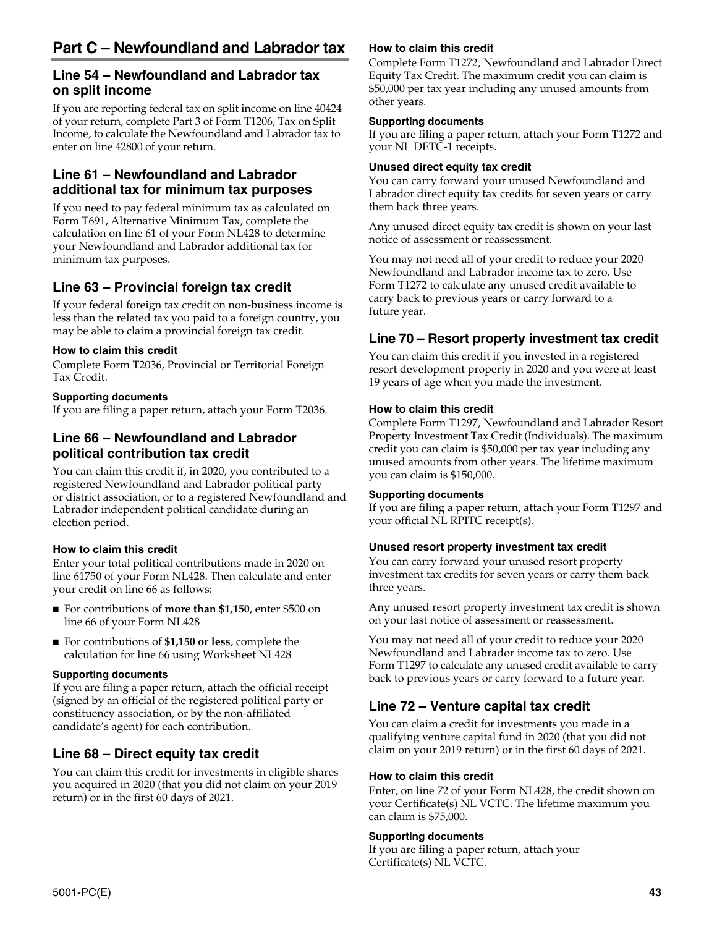### **Line 54 – Newfoundland and Labrador tax on split income**

If you are reporting federal tax on split income on line 40424 of your return, complete Part 3 of Form T1206, Tax on Split Income, to calculate the Newfoundland and Labrador tax to enter on line 42800 of your return.

## **Line 61 – Newfoundland and Labrador additional tax for minimum tax purposes**

If you need to pay federal minimum tax as calculated on Form T691, Alternative Minimum Tax, complete the calculation on line 61 of your Form NL428 to determine your Newfoundland and Labrador additional tax for minimum tax purposes.

## **Line 63 – Provincial foreign tax credit**

If your federal foreign tax credit on non-business income is less than the related tax you paid to a foreign country, you may be able to claim a provincial foreign tax credit.

#### **How to claim this credit**

Complete Form T2036, Provincial or Territorial Foreign Tax Credit.

#### **Supporting documents**

If you are filing a paper return, attach your Form T2036.

## **Line 66 – Newfoundland and Labrador political contribution tax credit**

You can claim this credit if, in 2020, you contributed to a registered Newfoundland and Labrador political party or district association, or to a registered Newfoundland and Labrador independent political candidate during an election period.

### **How to claim this credit**

Enter your total political contributions made in 2020 on line 61750 of your Form NL428. Then calculate and enter your credit on line 66 as follows:

- For contributions of **more than \$1,150**, enter \$500 on line 66 of your Form NL428
- For contributions of **\$1,150 or less**, complete the calculation for line 66 using Worksheet NL428

#### **Supporting documents**

If you are filing a paper return, attach the official receipt (signed by an official of the registered political party or constituency association, or by the non-affiliated candidate's agent) for each contribution.

## **Line 68 – Direct equity tax credit**

You can claim this credit for investments in eligible shares you acquired in 2020 (that you did not claim on your 2019 return) or in the first 60 days of 2021.

#### **How to claim this credit**

Complete Form T1272, Newfoundland and Labrador Direct Equity Tax Credit. The maximum credit you can claim is \$50,000 per tax year including any unused amounts from other years.

#### **Supporting documents**

If you are filing a paper return, attach your Form T1272 and your NL DETC-1 receipts.

#### **Unused direct equity tax credit**

You can carry forward your unused Newfoundland and Labrador direct equity tax credits for seven years or carry them back three years.

Any unused direct equity tax credit is shown on your last notice of assessment or reassessment.

You may not need all of your credit to reduce your 2020 Newfoundland and Labrador income tax to zero. Use Form T1272 to calculate any unused credit available to carry back to previous years or carry forward to a future year.

## **Line 70 – Resort property investment tax credit**

You can claim this credit if you invested in a registered resort development property in 2020 and you were at least 19 years of age when you made the investment.

#### **How to claim this credit**

Complete Form T1297, Newfoundland and Labrador Resort Property Investment Tax Credit (Individuals). The maximum credit you can claim is \$50,000 per tax year including any unused amounts from other years. The lifetime maximum you can claim is \$150,000.

#### **Supporting documents**

If you are filing a paper return, attach your Form T1297 and your official NL RPITC receipt(s).

#### **Unused resort property investment tax credit**

You can carry forward your unused resort property investment tax credits for seven years or carry them back three years.

Any unused resort property investment tax credit is shown on your last notice of assessment or reassessment.

You may not need all of your credit to reduce your 2020 Newfoundland and Labrador income tax to zero. Use Form T1297 to calculate any unused credit available to carry back to previous years or carry forward to a future year.

## **Line 72 – Venture capital tax credit**

You can claim a credit for investments you made in a qualifying venture capital fund in 2020 (that you did not claim on your 2019 return) or in the first 60 days of 2021.

#### **How to claim this credit**

Enter, on line 72 of your Form NL428, the credit shown on your Certificate(s) NL VCTC. The lifetime maximum you can claim is \$75,000.

#### **Supporting documents**

If you are filing a paper return, attach your Certificate(s) NL VCTC.